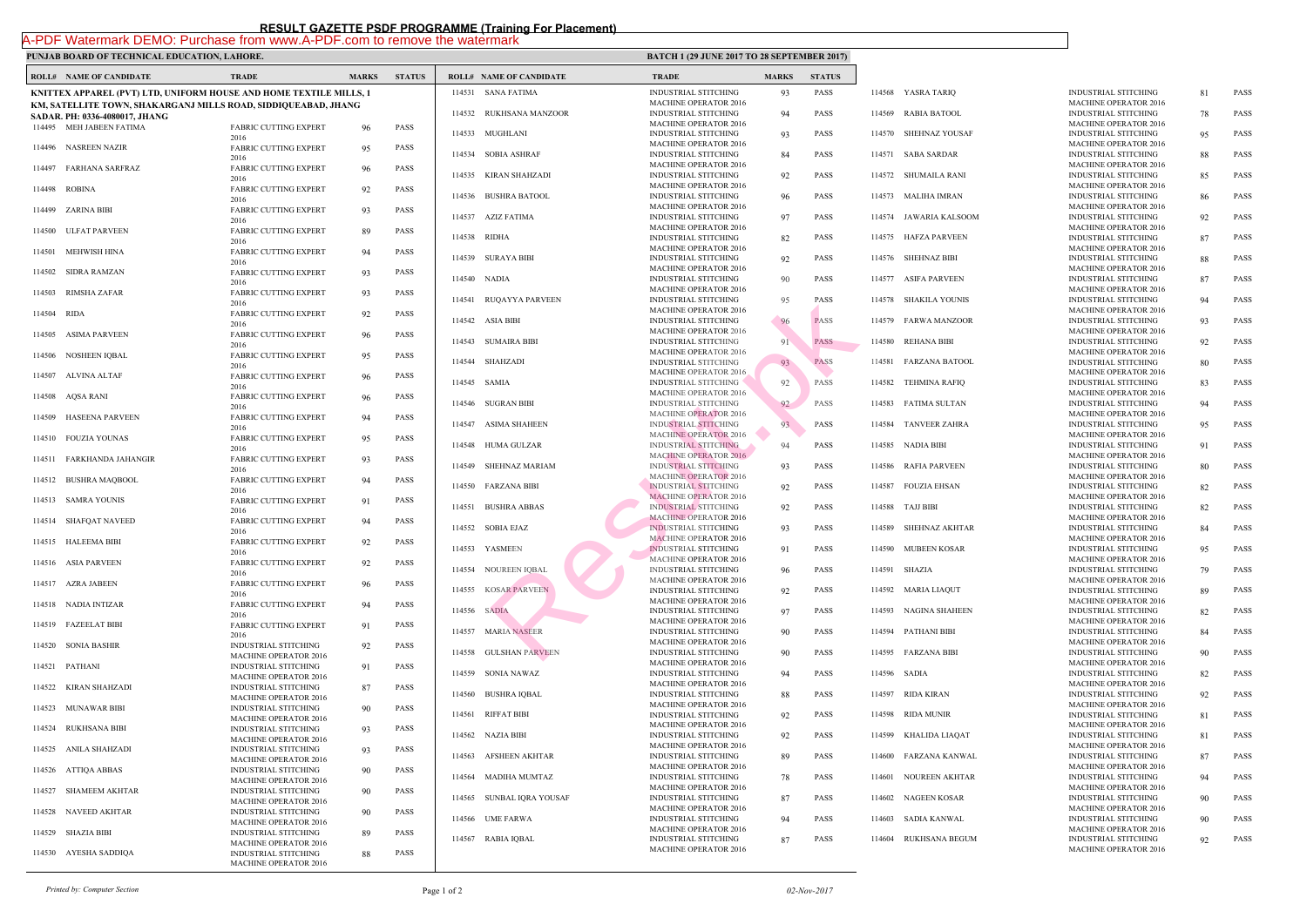## **PUNJAB BOARD OF TECHNICAL EDUCATION, LAHORE.** BATCH 1 (2017) **BATCH 1 (2017) BATCH 1 (2017) BATCH 2017**

|        | <b>ROLL# NAME OF CANDIDATE</b>                                                                   | <b>TRADE</b>                                                                                | <b>MARKS</b>       | <b>STATUS</b> |        | <b>ROLL# NAME OF CANDIDATE</b> | <b>TRAL</b>                 |
|--------|--------------------------------------------------------------------------------------------------|---------------------------------------------------------------------------------------------|--------------------|---------------|--------|--------------------------------|-----------------------------|
|        | KNITTEX APPAREL (PVT) LTD, UNIFORM HOUSE AND HOME TEXTILE MILLS, 1                               |                                                                                             | 114531 SANA FATIMA | <b>INDUS</b>  |        |                                |                             |
|        | KM, SATELLITE TOWN, SHAKARGANJ MILLS ROAD, SIDDIQUEABAD, JHANG<br>SADAR. PH: 0336-4080017, JHANG |                                                                                             |                    |               |        | 114532 RUKHSANA MANZOOR        | <b>MACH</b><br><b>INDUS</b> |
|        | 114495 MEH JABEEN FATIMA                                                                         | <b>FABRIC CUTTING EXPERT</b>                                                                | 96                 | PASS          |        | 114533 MUGHLANI                | <b>MACH</b><br><b>INDUS</b> |
|        | 114496 NASREEN NAZIR                                                                             | 2016<br><b>FABRIC CUTTING EXPERT</b><br>2016                                                | 95                 | PASS          |        | 114534 SOBIA ASHRAF            | <b>MACH</b><br><b>INDUS</b> |
|        | 114497 FARHANA SARFRAZ                                                                           | <b>FABRIC CUTTING EXPERT</b>                                                                | 96                 | PASS          |        | 114535 KIRAN SHAHZADI          | <b>MACH</b><br><b>INDUS</b> |
|        | 114498 ROBINA                                                                                    | 2016<br><b>FABRIC CUTTING EXPERT</b><br>2016                                                | 92                 | PASS          |        | 114536 BUSHRA BATOOL           | <b>MACH</b><br><b>INDUS</b> |
|        | 114499 ZARINA BIBI                                                                               | FABRIC CUTTING EXPERT                                                                       | 93                 | PASS          |        | 114537 AZIZ FATIMA             | <b>MACH</b><br><b>INDUS</b> |
|        | 114500 ULFAT PARVEEN                                                                             | 2016<br><b>FABRIC CUTTING EXPERT</b><br>2016                                                | 89                 | PASS          |        | 114538 RIDHA                   | <b>MACH</b><br><b>INDUS</b> |
|        | 114501 MEHWISH HINA                                                                              | <b>FABRIC CUTTING EXPERT</b>                                                                | 94                 | PASS          |        | 114539 SURAYA BIBI             | <b>MACH</b><br><b>INDUS</b> |
|        | 114502 SIDRA RAMZAN                                                                              | 2016<br><b>FABRIC CUTTING EXPERT</b><br>2016                                                | 93                 | PASS          |        | 114540 NADIA                   | <b>MACH</b><br><b>INDUS</b> |
| 114503 | RIMSHA ZAFAR                                                                                     | <b>FABRIC CUTTING EXPERT</b>                                                                | 93                 | PASS          |        | 114541 RUQAYYA PARVEEN         | <b>MACH</b><br><b>INDUS</b> |
| 114504 | RIDA                                                                                             | 2016<br><b>FABRIC CUTTING EXPERT</b><br>2016                                                | 92                 | PASS          |        | 114542 ASIA BIBI               | <b>MACH</b><br><b>INDUS</b> |
|        | 114505 ASIMA PARVEEN                                                                             | <b>FABRIC CUTTING EXPERT</b>                                                                | 96                 | PASS          |        | 114543 SUMAIRA BIBI            | <b>MACH</b><br><b>INDUS</b> |
|        | 114506 NOSHEEN IOBAL                                                                             | 2016<br><b>FABRIC CUTTING EXPERT</b><br>2016                                                | 95                 | PASS          |        | 114544 SHAHZADI                | <b>MACH</b><br><b>INDUS</b> |
|        | 114507 ALVINA ALTAF                                                                              | <b>FABRIC CUTTING EXPERT</b>                                                                | 96                 | PASS          |        | 114545 SAMIA                   | <b>MACH</b><br><b>INDUS</b> |
| 114508 | AQSA RANI                                                                                        | 2016<br><b>FABRIC CUTTING EXPERT</b><br>2016                                                | 96                 | PASS          |        | 114546 SUGRAN BIBI             | <b>MACH</b><br><b>INDUS</b> |
|        | 114509 HASEENA PARVEEN                                                                           | <b>FABRIC CUTTING EXPERT</b><br>2016                                                        | 94                 | PASS          | 114547 | ASIMA SHAHEEN                  | <b>MACH</b><br><b>INDUS</b> |
|        | 114510 FOUZIA YOUNAS                                                                             | <b>FABRIC CUTTING EXPERT</b><br>2016                                                        | 95                 | PASS          |        | 114548 HUMA GULZAR             | <b>MACH</b><br><b>INDUS</b> |
|        | 114511 FARKHANDA JAHANGIR                                                                        | <b>FABRIC CUTTING EXPERT</b>                                                                | 93                 | PASS          |        | 114549 SHEHNAZ MARIAM          | <b>MACH</b><br><b>INDUS</b> |
|        | 114512 BUSHRA MAQBOOL                                                                            | 2016<br><b>FABRIC CUTTING EXPERT</b><br>2016                                                | 94                 | PASS          |        | 114550 FARZANA BIBI            | <b>MACH</b><br><b>INDUS</b> |
|        | 114513 SAMRA YOUNIS                                                                              | <b>FABRIC CUTTING EXPERT</b><br>2016                                                        | 91                 | PASS          |        | 114551 BUSHRA ABBAS            | <b>MACH</b><br><b>INDUS</b> |
|        | 114514 SHAFQAT NAVEED                                                                            | <b>FABRIC CUTTING EXPERT</b><br>2016                                                        | 94                 | PASS          |        | 114552 SOBIA EJAZ              | <b>MACH</b><br><b>INDUS</b> |
|        | 114515 HALEEMA BIBI                                                                              | <b>FABRIC CUTTING EXPERT</b>                                                                | 92                 | PASS          |        | 114553 YASMEEN                 | <b>MACH</b><br><b>INDUS</b> |
|        | 114516 ASIA PARVEEN                                                                              | 2016<br>FABRIC CUTTING EXPERT<br>2016                                                       | 92                 | PASS          |        | 114554 NOUREEN IQBAL           | <b>MACH</b><br><b>INDUS</b> |
|        | 114517 AZRA JABEEN                                                                               | <b>FABRIC CUTTING EXPERT</b><br>2016                                                        | 96                 | PASS          | 114555 | <b>KOSAR PARVEEN</b>           | <b>MACH</b><br><b>INDUS</b> |
|        | 114518 NADIA INTIZAR                                                                             | <b>FABRIC CUTTING EXPERT</b>                                                                | 94                 | PASS          |        | 114556 SADIA                   | <b>MACH</b><br><b>INDUS</b> |
|        | 114519 FAZEELAT BIBI                                                                             | 2016<br><b>FABRIC CUTTING EXPERT</b><br>2016                                                | 91                 | PASS          |        | 114557 MARIA NASEER            | <b>MACH</b><br><b>INDUS</b> |
| 114520 | <b>SONIA BASHIR</b>                                                                              | <b>INDUSTRIAL STITCHING</b>                                                                 | 92                 | PASS          | 114558 | <b>GULSHAN PARVEEN</b>         | <b>MACH</b><br><b>INDUS</b> |
| 114521 | PATHANI                                                                                          | <b>MACHINE OPERATOR 2016</b><br><b>INDUSTRIAL STITCHING</b><br><b>MACHINE OPERATOR 2016</b> | 91                 | PASS          | 114559 | SONIA NAWAZ                    | <b>MACH</b><br><b>INDUS</b> |
| 114522 | KIRAN SHAHZADI                                                                                   | <b>INDUSTRIAL STITCHING</b><br><b>MACHINE OPERATOR 2016</b>                                 | 87                 | PASS          | 114560 | BUSHRA IQBAL                   | <b>MACH</b><br><b>INDUS</b> |
| 114523 | <b>MUNAWAR BIBI</b>                                                                              | <b>INDUSTRIAL STITCHING</b><br><b>MACHINE OPERATOR 2016</b>                                 | 90                 | PASS          |        | 114561 RIFFAT BIBI             | <b>MACH</b><br><b>INDUS</b> |
| 114524 | RUKHSANA BIBI                                                                                    | INDUSTRIAL STITCHING                                                                        | 93                 | PASS          |        | 114562 NAZIA BIBI              | <b>MACH</b><br><b>INDUS</b> |
| 114525 | ANILA SHAHZADI                                                                                   | <b>MACHINE OPERATOR 2016</b><br><b>INDUSTRIAL STITCHING</b><br><b>MACHINE OPERATOR 2016</b> | 93                 | PASS          |        | 114563 AFSHEEN AKHTAR          | <b>MACH</b><br><b>INDUS</b> |
| 114526 | ATTIQA ABBAS                                                                                     | INDUSTRIAL STITCHING                                                                        | 90                 | PASS          | 114564 | <b>MADIHA MUMTAZ</b>           | <b>MACH</b><br><b>INDUS</b> |
| 114527 | <b>SHAMEEM AKHTAR</b>                                                                            | <b>MACHINE OPERATOR 2016</b><br><b>INDUSTRIAL STITCHING</b><br><b>MACHINE OPERATOR 2016</b> | 90                 | PASS          | 114565 | SUNBAL IQRA YOUSAF             | <b>MACH</b><br><b>INDUS</b> |
| 114528 | NAVEED AKHTAR                                                                                    | INDUSTRIAL STITCHING                                                                        | 90                 | PASS          |        | 114566 UME FARWA               | <b>MACH</b><br><b>INDUS</b> |
| 114529 | <b>SHAZIA BIBI</b>                                                                               | <b>MACHINE OPERATOR 2016</b><br><b>INDUSTRIAL STITCHING</b>                                 | 89                 | PASS          |        |                                | <b>MACH</b>                 |
|        | 114530 AYESHA SADDIQA                                                                            | <b>MACHINE OPERATOR 2016</b><br><b>INDUSTRIAL STITCHING</b><br><b>MACHINE OPERATOR 2016</b> | 88                 | PASS          |        | 114567 RABIA IQBAL             | <b>INDUS</b><br><b>MACH</b> |